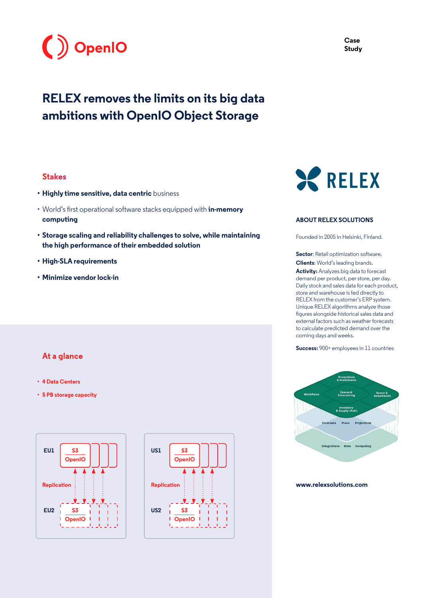

# **RELEX removes the limits on its big data ambitions with OpenIO Object Storage**

#### **Stakes**

- **• Highly time sensitive, data centric** business
- World's first operational software stacks equipped with **in-memory computing**
- **• Storage scaling and reliability challenges to solve, while maintaining the high performance of their embedded solution**
- **• High-SLA requirements**
- **• Minimize vendor lock-in**

## **At a glance**

- **• 4 Data Centers**
- **• 5 PB storage capacity**







#### **ABOUT RELEX SOLUTIONS**

Founded in 2005 in Helsinki, Finland.

**Sector:** Retail optimization software. **Clients**: World's leading brands.

**Activity:** Analyzes big data to forecast demand per product, per store, per day. Daily stock and sales data for each product, store and warehouse is fed directly to RELEX from the customer's ERP system. Unique RELEX algorithms analyze those figures alongside historical sales data and external factors such as weather forecasts to calculate predicted demand over the coming days and weeks.

**Success:** 900+ employees in 11 countries



#### **[www.relexsolutions.com](https://www.relexsolutions.com)**

**Case Study**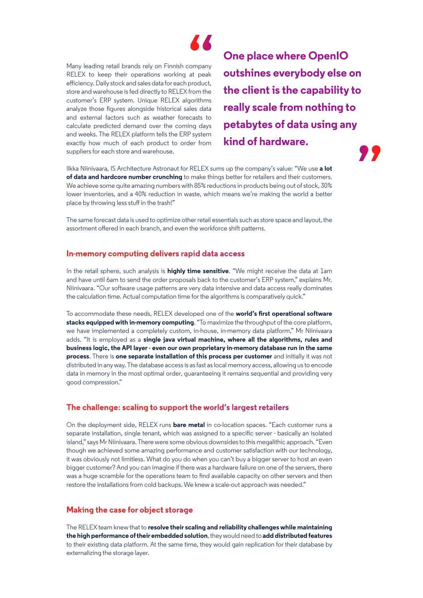

Many leading retail brands rely on Finnish company RELEX to keep their operations working at peak efficiency. Daily stock and sales data for each product, store and warehouse is fed directly to RELEX from the customer's ERP system. Unique RELEX algorithms analyze those figures alongside historical sales data and external factors such as weather forecasts to calculate predicted demand over the coming days and weeks. The RELEX platform tells the ERP system exactly how much of each product to order from suppliers for each store and warehouse.

**One place where OpenIO outshines everybody else on the client is the capability to really scale from nothing to petabytes of data using any kind of hardware.** 22

Ilkka Niinivaara, IS Architecture Astronaut for RELEX sums up the company's value: "We use **a lot of data and hardcore number crunching** to make things better for retailers and their customers. We achieve some quite amazing numbers with 85% reductions in products being out of stock, 30% lower inventories, and a 40% reduction in waste, which means we're making the world a better place by throwing less stuff in the trash!"

The same forecast data is used to optimize other retail essentials such as store space and layout, the assortment offered in each branch, and even the workforce shift patterns.

### **In-memory computing delivers rapid data access**

In the retail sphere, such analysis is **highly time sensitive**. "We might receive the data at 1am and have until 6am to send the order proposals back to the customer's ERP system," explains Mr. Niinivaara. "Our software usage patterns are very data intensive and data access really dominates the calculation time. Actual computation time for the algorithms is comparatively quick."

To accommodate these needs, RELEX developed one of the **world's first operational software stacks equipped with in-memory computing**. "To maximize the throughput of the core platform, we have implemented a completely custom, in-house, in-memory data platform," Mr Niinivaara adds. "It is employed as a **single java virtual machine, where all the algorithms, rules and business logic, the API layer - even our own proprietary in-memory database run in the same process**. There is **one separate installation of this process per customer** and initially it was not distributed in any way. The database access is as fast as local memory access, allowing us to encode data in memory in the most optimal order, guaranteeing it remains sequential and providing very good compression."

#### **The challenge: scaling to support the world's largest retailers**

On the deployment side, RELEX runs **bare metal** in co-location spaces. "Each customer runs a separate installation, single tenant, which was assigned to a specific server - basically an isolated island," says Mr Niinivaara. There were some obvious downsides to this megalithic approach. "Even though we achieved some amazing performance and customer satisfaction with our technology, it was obviously not limitless. What do you do when you can't buy a bigger server to host an even bigger customer? And you can imagine if there was a hardware failure on one of the servers, there was a huge scramble for the operations team to find available capacity on other servers and then restore the installations from cold backups. We knew a scale-out approach was needed."

#### **Making the case for object storage**

The RELEX team knew that to **resolve their scaling and reliability challenges while maintaining the high performance of their embedded solution**, they would need to **add distributed features** to their existing data platform. At the same time, they would gain replication for their database by externalizing the storage layer.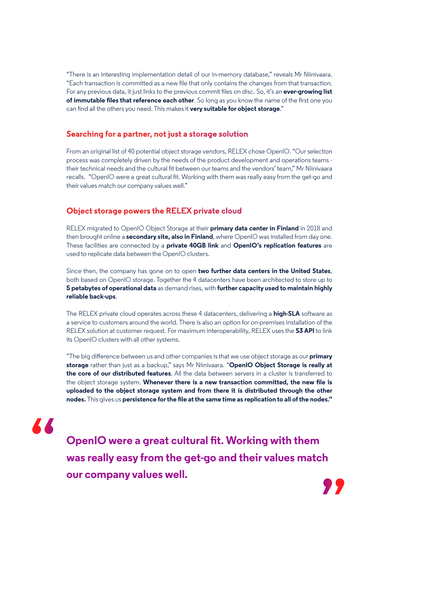"There is an interesting implementation detail of our in-memory database," reveals Mr Niinivaara. "Each transaction is committed as a new file that only contains the changes from that transaction. For any previous data, it just links to the previous commit files on disc. So, it's an **ever-growing list of immutable files that reference each other**. So long as you know the name of the first one you can find all the others you need. This makes it **very suitable for object storage**."

#### **Searching for a partner, not just a storage solution**

From an original list of 40 potential object storage vendors, RELEX chose OpenIO. "Our selection process was completely driven by the needs of the product development and operations teams their technical needs and the cultural fit between our teams and the vendors' team," Mr Niinivaara recalls. "OpenIO were a great cultural fit. Working with them was really easy from the get-go and their values match our company values well."

#### **Object storage powers the RELEX private cloud**

RELEX migrated to OpenIO Object Storage at their **primary data center in Finland** in 2018 and then brought online a **secondary site, also in Finland**, where OpenIO was installed from day one. These facilities are connected by a **private 40GB link** and **OpenIO's replication features** are used to replicate data between the OpenIO clusters.

Since then, the company has gone on to open **two further data centers in the United States**, both based on OpenIO storage. Together the 4 datacenters have been architected to store up to **5 petabytes of operational data** as demand rises, with **further capacity used to maintain highly reliable back-ups**.

The RELEX private cloud operates across these 4 datacenters, delivering a **high-SLA** software as a service to customers around the world. There is also an option for on-premises installation of the RELEX solution at customer request. For maximum interoperability, RELEX uses the **S3 API** to link its OpenIO clusters with all other systems.

"The big difference between us and other companies is that we use object storage as our **primary storage** rather than just as a backup," says Mr Niinivaara. "**OpenIO Object Storage is really at the core of our distributed features**. All the data between servers in a cluster is transferred to the object storage system. **Whenever there is a new transaction committed, the new file is uploaded to the object storage system and from there it is distributed through the other nodes.** This gives us **persistence for the file at the same time as replication to all of the nodes."**

# $\overline{\mathbf{A}}$

**OpenIO were a great cultural fit. Working with them was really easy from the get-go and their values match our company values well.**